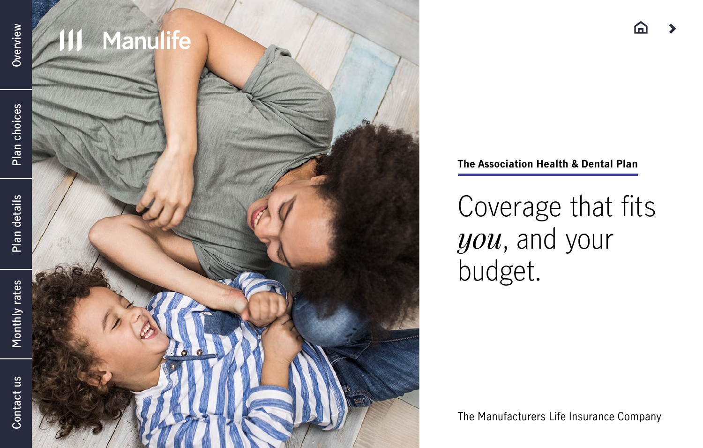

Plan details **[Plan details](#page-5-0)**



**The Association Health & Dental Plan**

Coverage that fits *you*, and your budget.

The Manufacturers Life Insurance Company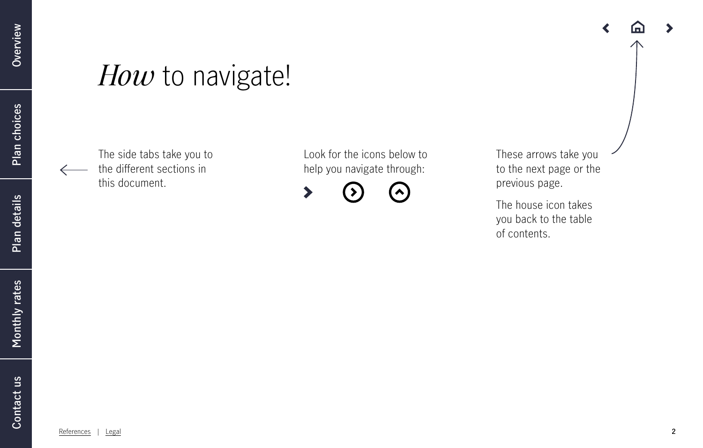# *How* to navigate!

The side tabs take you to the different sections in this document.

Look for the icons below to help you navigate through:

 $\blacktriangleright$  $\blacktriangleright$ 

These arrows take you to the next page or the previous page.

≺

The house icon takes you back to the table of contents.

Plan details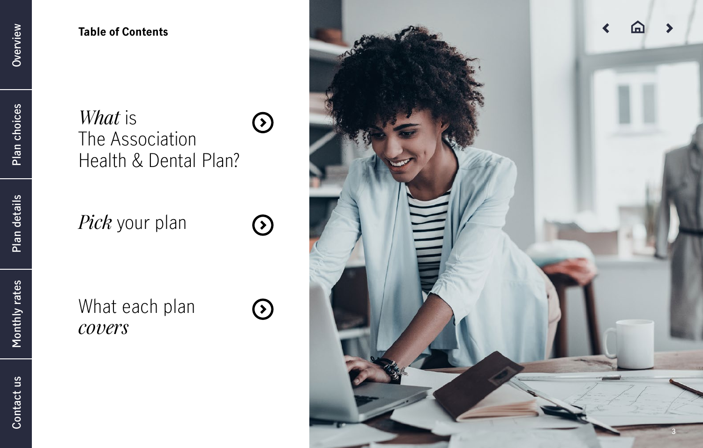**[Plan choices](#page-4-0)**

Plan choices

Plan details

## *What* is  $\odot$ The Association Health & Dental Plan?

*Pick* your plan

 $\bigodot$ 

 $\bigodot$ 

What each plan *covers*



**[Monthly rates](#page-8-0)**

Monthly rates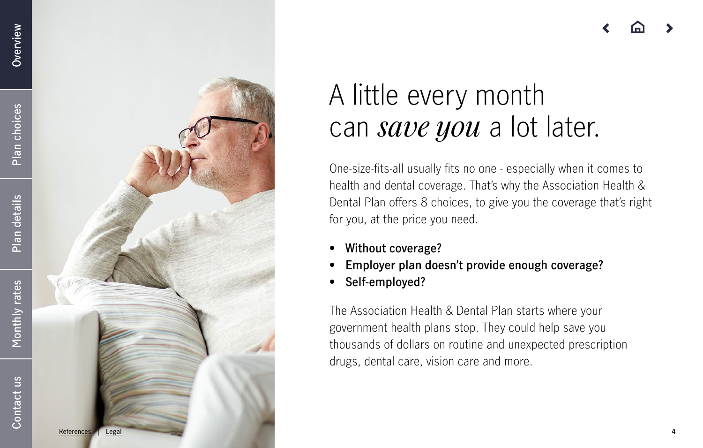<span id="page-3-0"></span>

# A little every month can *save you* a lot later.

One-size-fits-all usually fits no one - especially when it comes to health and dental coverage. That's why the Association Health & Dental Plan offers 8 choices, to give you the coverage that's right for you, at the price you need.

- **• Without coverage?**
- **• Employer plan doesn't provide enough coverage?**
- **• Self-employed?**

The Association Health & Dental Plan starts where your government health plans stop. They could help save you thousands of dollars on routine and unexpected prescription drugs, dental care, vision care and more.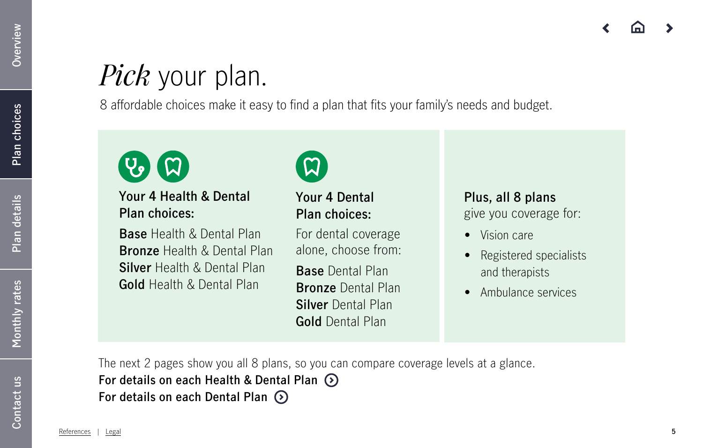# <span id="page-4-0"></span>*Pick* your plan.

8 affordable choices make it easy to find a plan that fits your family's needs and budget.



## **Your 4 Health & Dental Plan choices:**

**Base** Health & Dental Plan **Bronze** Health & Dental Plan **Silver** Health & Dental Plan **Gold** Health & Dental Plan



## **Your 4 Dental Plan choices:**

For dental coverage alone, choose from:

**Base** Dental Plan **Bronze** Dental Plan **Silver** Dental Plan **Gold** Dental Plan

## **Plus, all 8 plans**

give you coverage for:

- **•** Vision care
- **•** Registered specialists and therapists
- **•** Ambulance services

The next 2 pages show you all 8 plans, so you can compare coverage levels at a glance. **For details on each Health & Dental Plan** 

**For details on each Dental Plan**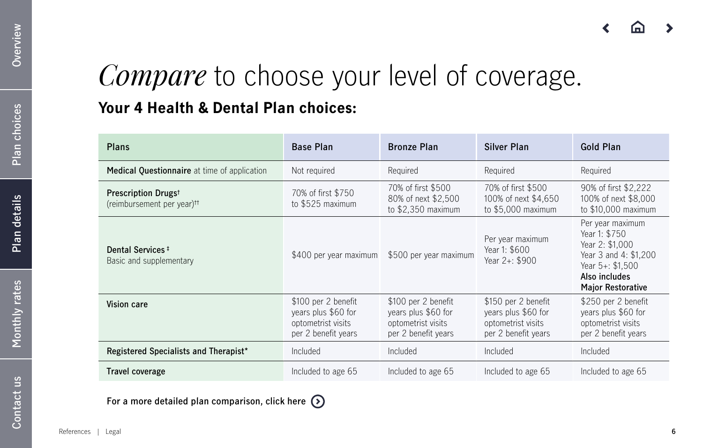# <span id="page-5-0"></span>*Compare* to choose your level of coverage.

## **Your 4 Health & Dental Plan choices:**

| <b>Plans</b>                                                              | <b>Base Plan</b>                                                                        | <b>Bronze Plan</b>                                                                      | <b>Silver Plan</b>                                                                      | <b>Gold Plan</b>                                                                                                                               |
|---------------------------------------------------------------------------|-----------------------------------------------------------------------------------------|-----------------------------------------------------------------------------------------|-----------------------------------------------------------------------------------------|------------------------------------------------------------------------------------------------------------------------------------------------|
| <b>Medical Questionnaire</b> at time of application                       | Not required                                                                            | Required                                                                                | Required                                                                                | Required                                                                                                                                       |
| Prescription Drugs <sup>t</sup><br>(reimbursement per year) <sup>tt</sup> | 70% of first \$750<br>to \$525 maximum                                                  | 70% of first \$500<br>80% of next \$2,500<br>to $$2,350$ maximum                        | 70% of first \$500<br>100% of next \$4,650<br>to \$5,000 maximum                        | 90% of first \$2,222<br>100% of next \$8,000<br>to \$10,000 maximum                                                                            |
| Dental Services <sup>#</sup><br>Basic and supplementary                   | \$400 per year maximum                                                                  | \$500 per year maximum                                                                  | Per year maximum<br>Year 1: \$600<br>Year 2+: \$900                                     | Per year maximum<br>Year 1: \$750<br>Year 2: \$1,000<br>Year 3 and 4: \$1,200<br>Year 5+: \$1,500<br>Also includes<br><b>Major Restorative</b> |
| Vision care                                                               | \$100 per 2 benefit<br>years plus \$60 for<br>optometrist visits<br>per 2 benefit years | \$100 per 2 benefit<br>years plus \$60 for<br>optometrist visits<br>per 2 benefit years | \$150 per 2 benefit<br>years plus \$60 for<br>optometrist visits<br>per 2 benefit years | \$250 per 2 benefit<br>years plus \$60 for<br>optometrist visits<br>per 2 benefit years                                                        |
| Registered Specialists and Therapist*                                     | Included                                                                                | Included                                                                                | Included                                                                                | Included                                                                                                                                       |
| Travel coverage                                                           | Included to age 65                                                                      | Included to age 65                                                                      | Included to age 65                                                                      | Included to age 65                                                                                                                             |

**For a more detailed plan comparison, click her[e](https://www.manulife-insurance.ca/content/dam/affinity/generic-association/documents/professional-pool/en/brochure/manulife-association-hd-plan-comparison-af1334e.pdf)**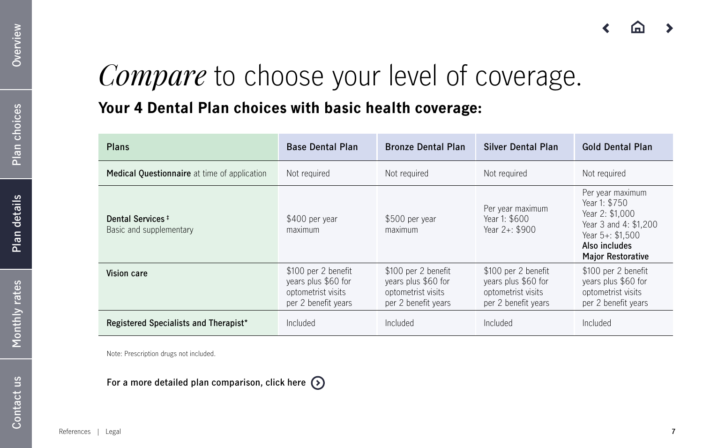# *Compare* to choose your level of coverage.

## **Your 4 Dental Plan choices with basic health coverage:**

| <b>Plans</b>                                            | <b>Base Dental Plan</b>                                                                 | <b>Bronze Dental Plan</b>                                                               | <b>Silver Dental Plan</b>                                                               | <b>Gold Dental Plan</b>                                                                                                                        |
|---------------------------------------------------------|-----------------------------------------------------------------------------------------|-----------------------------------------------------------------------------------------|-----------------------------------------------------------------------------------------|------------------------------------------------------------------------------------------------------------------------------------------------|
| <b>Medical Questionnaire</b> at time of application     | Not required                                                                            | Not required                                                                            | Not required                                                                            | Not required                                                                                                                                   |
| Dental Services <sup>#</sup><br>Basic and supplementary | \$400 per year<br>maximum                                                               | \$500 per year<br>maximum                                                               | Per year maximum<br>Year 1: \$600<br>Year 2+: \$900                                     | Per year maximum<br>Year 1: \$750<br>Year 2: \$1,000<br>Year 3 and 4: \$1,200<br>Year 5+: \$1,500<br>Also includes<br><b>Major Restorative</b> |
| <b>Vision care</b>                                      | \$100 per 2 benefit<br>years plus \$60 for<br>optometrist visits<br>per 2 benefit years | \$100 per 2 benefit<br>years plus \$60 for<br>optometrist visits<br>per 2 benefit years | \$100 per 2 benefit<br>years plus \$60 for<br>optometrist visits<br>per 2 benefit years | \$100 per 2 benefit<br>years plus \$60 for<br>optometrist visits<br>per 2 benefit years                                                        |
| Registered Specialists and Therapist*                   | Included                                                                                | Included                                                                                | Included                                                                                | Included                                                                                                                                       |

Note: Prescription drugs not included.

**For a more detailed plan comparison, click here**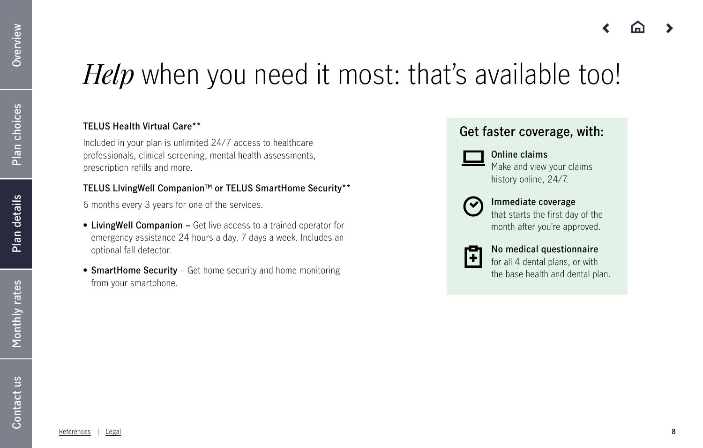# *Help* when you need it most: that's available too!

### **TELUS Health Virtual Care\*\***

Included in your plan is unlimited 24/7 access to healthcare professionals, clinical screening, mental health assessments, prescription refills and more.

### TELUS LIvingWell Companion<sup>™</sup> or TELUS SmartHome Security\*\*

6 months every 3 years for one of the services.

- **• LivingWell Companion** Get live access to a trained operator for emergency assistance 24 hours a day, 7 days a week. Includes an optional fall detector.
- **• SmartHome Security**  Get home security and home monitoring from your smartphone.

## **Get faster coverage, with:**



### **Online claims** Make and view your claims history online, 24/7.



### **Immediate coverage**

that starts the first day of the month after you're approved.



### **No medical questionnaire** for all 4 dental plans, or with the base health and dental plan.

Contact us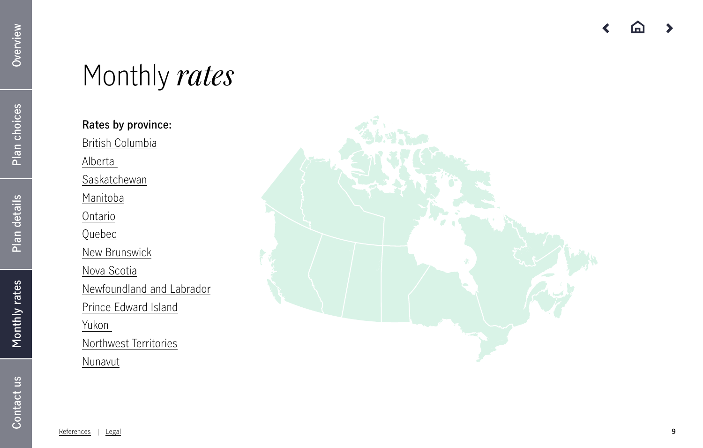# <span id="page-8-0"></span>Monthly *rates*

**Rates by province:** [British Columbia](https://www.manulife-insurance.ca/content/dam/affinity/generic-association/documents/shared/en/rates/manulife-insurance-the-association-plan-british-columbia-rate-client-brochure.pdf) [Alberta](https://www.manulife-insurance.ca/content/dam/affinity/generic-association/documents/shared/en/rates/manulife-insurance-the-association-plan-alberta-rate-client-brochure.pdf)  [Saskatchewan](https://www.manulife-insurance.ca/content/dam/affinity/generic-association/documents/shared/en/rates/manulife-insurance-the-association-plan-saskatchewan-rate-client-brochure.pdf) **[Manitoba](https://www.manulife-insurance.ca/content/dam/affinity/generic-association/documents/shared/en/rates/manulife-insurance-the-association-plan-manitoba-rate-client-brochure.pdf)** [Ontario](https://www.manulife-insurance.ca/content/dam/affinity/generic-association/documents/shared/en/rates/manulife-insurance-the-association-plan-ontario-rate-client-brochure.pdf) [Quebec](https://www.manulife-insurance.ca/content/dam/affinity/generic-association/documents/shared/en/rates/manulife-insurance-the-association-plan-quebec-rate-client-brochure.pdf) [New Brunswick](https://www.manulife-insurance.ca/content/dam/affinity/generic-association/documents/shared/en/rates/manulife-insurance-the-association-plan-new-brunswick-rate-client-brochure.pdf) [Nova Scotia](https://www.manulife-insurance.ca/content/dam/affinity/generic-association/documents/shared/en/rates/manulife-insurance-the-association-plan-nova-scotia-rate-client-brochure.pdf) [Newfoundland and Labrador](https://www.manulife-insurance.ca/content/dam/affinity/generic-association/documents/shared/en/rates/manulife-insurance-the-association-plan-newfoundland-labrador-rate-client-brochure.pdf) [Prince Edward Island](https://www.manulife-insurance.ca/content/dam/affinity/generic-association/documents/shared/en/rates/manulife-insurance-the-association-plan-prince-edward-island-rate-client-brochure.pdf) [Yukon](https://www.manulife-insurance.ca/content/dam/affinity/generic-association/documents/shared/en/rates/manulife-insurance-the-association-plan-northwest-territories-nunavut-yukon-rate-client-brochure.pdf)  [Northwest Territories](https://www.manulife-insurance.ca/content/dam/affinity/generic-association/documents/shared/en/rates/manulife-insurance-the-association-plan-northwest-territories-nunavut-yukon-rate-client-brochure.pdf) **[Nunavut](https://www.manulife-insurance.ca/content/dam/affinity/generic-association/documents/shared/en/rates/manulife-insurance-the-association-plan-northwest-territories-nunavut-yukon-rate-client-brochure.pdf)** 

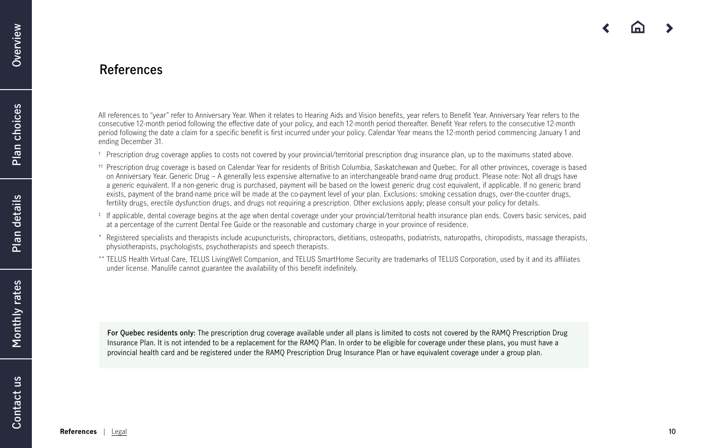### <span id="page-9-0"></span>**References**

All references to "year" refer to Anniversary Year. When it relates to Hearing Aids and Vision benefits, year refers to Benefit Year. Anniversary Year refers to the consecutive 12-month period following the effective date of your policy, and each 12-month period thereafter. Benefit Year refers to the consecutive 12-month period following the date a claim for a specific benefit is first incurred under your policy. Calendar Year means the 12-month period commencing January 1 and ending December 31.

- † Prescription drug coverage applies to costs not covered by your provincial/territorial prescription drug insurance plan, up to the maximums stated above.
- †† Prescription drug coverage is based on Calendar Year for residents of British Columbia, Saskatchewan and Quebec. For all other provinces, coverage is based on Anniversary Year. Generic Drug – A generally less expensive alternative to an interchangeable brand-name drug product. Please note: Not all drugs have a generic equivalent. If a non-generic drug is purchased, payment will be based on the lowest generic drug cost equivalent, if applicable. If no generic brand exists, payment of the brand-name price will be made at the co-payment level of your plan. Exclusions: smoking cessation drugs, over-the-counter drugs, fertility drugs, erectile dysfunction drugs, and drugs not requiring a prescription. Other exclusions apply; please consult your policy for details.
- ‡ If applicable, dental coverage begins at the age when dental coverage under your provincial/territorial health insurance plan ends. Covers basic services, paid at a percentage of the current Dental Fee Guide or the reasonable and customary charge in your province of residence.
- \* Registered specialists and therapists include acupuncturists, chiropractors, dietitians, osteopaths, podiatrists, naturopaths, chiropodists, massage therapists, physiotherapists, psychologists, psychotherapists and speech therapists.
- \*\* TELUS Health Virtual Care, TELUS LivingWell Companion, and TELUS SmartHome Security are trademarks of TELUS Corporation, used by it and its affiliates under license. Manulife cannot guarantee the availability of this benefit indefinitely.

**For Quebec residents only:** The prescription drug coverage available under all plans is limited to costs not covered by the RAMQ Prescription Drug Insurance Plan. It is not intended to be a replacement for the RAMQ Plan. In order to be eligible for coverage under these plans, you must have a provincial health card and be registered under the RAMQ Prescription Drug Insurance Plan or have equivalent coverage under a group plan.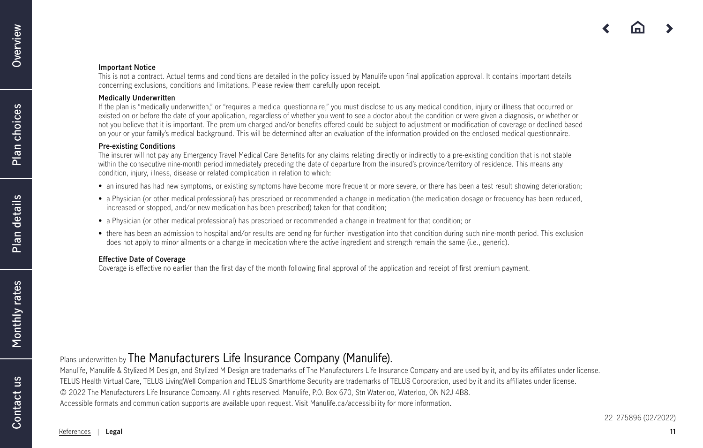#### <span id="page-10-0"></span>**Important Notice**

This is not a contract. Actual terms and conditions are detailed in the policy issued by Manulife upon final application approval. It contains important details concerning exclusions, conditions and limitations. Please review them carefully upon receipt.

#### **Medically Underwritten**

If the plan is "medically underwritten," or "requires a medical questionnaire," you must disclose to us any medical condition, injury or illness that occurred or existed on or before the date of your application, regardless of whether you went to see a doctor about the condition or were given a diagnosis, or whether or not you believe that it is important. The premium charged and/or benefits offered could be subject to adjustment or modification of coverage or declined based on your or your family's medical background. This will be determined after an evaluation of the information provided on the enclosed medical questionnaire.

#### **Pre-existing Conditions**

The insurer will not pay any Emergency Travel Medical Care Benefits for any claims relating directly or indirectly to a pre-existing condition that is not stable within the consecutive nine-month period immediately preceding the date of departure from the insured's province/territory of residence. This means any condition, injury, illness, disease or related complication in relation to which:

- an insured has had new symptoms, or existing symptoms have become more frequent or more severe, or there has been a test result showing deterioration;
- a Physician (or other medical professional) has prescribed or recommended a change in medication (the medication dosage or frequency has been reduced, increased or stopped, and/or new medication has been prescribed) taken for that condition;
- a Physician (or other medical professional) has prescribed or recommended a change in treatment for that condition; or
- there has been an admission to hospital and/or results are pending for further investigation into that condition during such nine-month period. This exclusion does not apply to minor ailments or a change in medication where the active ingredient and strength remain the same (i.e., generic).

#### **Effective Date of Coverage**

Coverage is effective no earlier than the first day of the month following final approval of the application and receipt of first premium payment.

### Plans underwritten by The Manufacturers Life Insurance Company (Manulife).

Manulife, Manulife & Stylized M Design, and Stylized M Design are trademarks of The Manufacturers Life Insurance Company and are used by it, and by its affiliates under license. TELUS Health Virtual Care, TELUS LivingWell Companion and TELUS SmartHome Security are trademarks of TELUS Corporation, used by it and its affiliates under license. © 2022 The Manufacturers Life Insurance Company. All rights reserved. Manulife, P.O. Box 670, Stn Waterloo, Waterloo, ON N2J 4B8. Accessible formats and communication supports are available upon request. Visit Manulife.ca/accessibility for more information.